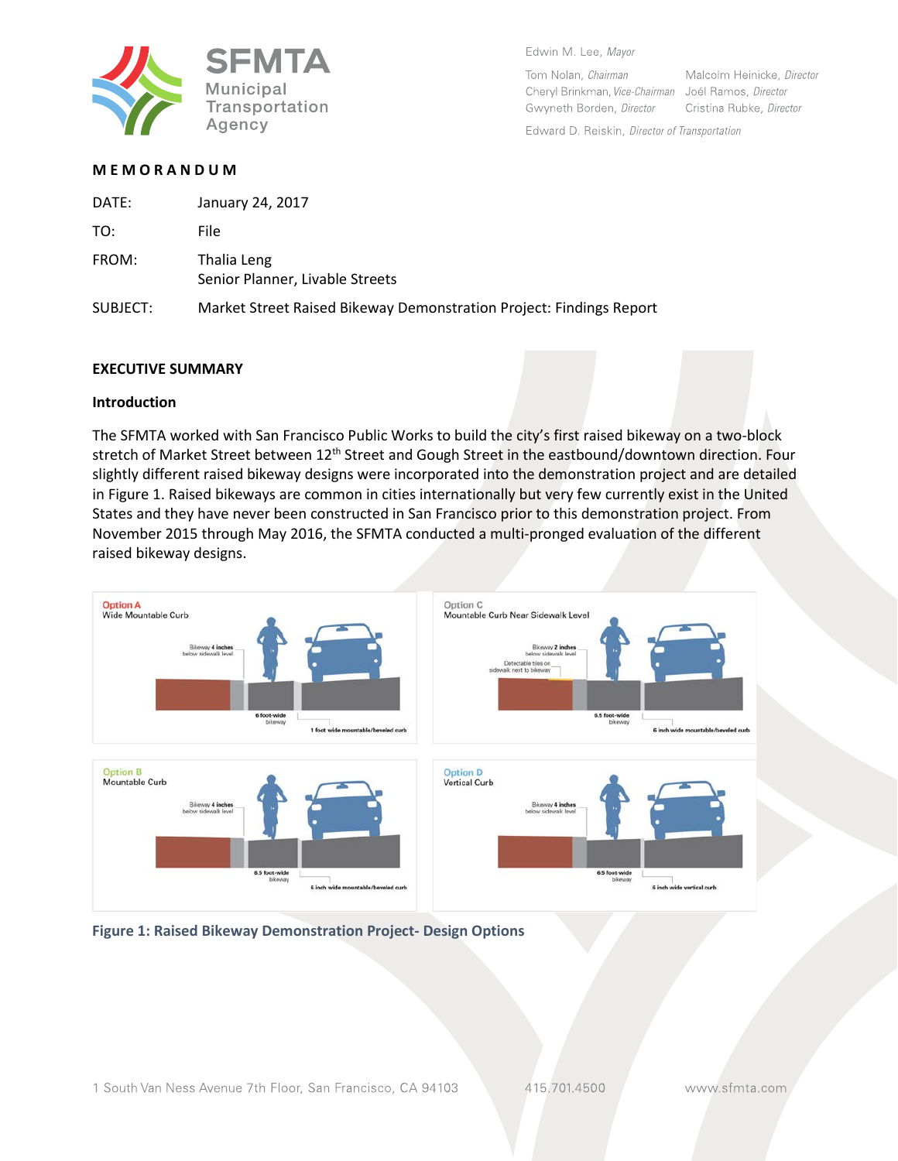

Edwin M, Lee, Mayor

Tom Nolan, Chairman Cheryl Brinkman, Vice-Chairman Joél Ramos, Director Gwyneth Borden, Director

Malcolm Heinicke, Director Cristina Rubke, Director

Edward D. Reiskin, Director of Transportation

# **M E M O R A N D U M**

| DATE:    | January 24, 2017                                                    |
|----------|---------------------------------------------------------------------|
| TO:      | File                                                                |
| FROM:    | Thalia Leng<br>Senior Planner, Livable Streets                      |
| SUBJECT: | Market Street Raised Bikeway Demonstration Project: Findings Report |

#### **EXECUTIVE SUMMARY**

#### **Introduction**

The SFMTA worked with San Francisco Public Works to build the city's first raised bikeway on a two-block stretch of Market Street between 12<sup>th</sup> Street and Gough Street in the eastbound/downtown direction. Four slightly different raised bikeway designs were incorporated into the demonstration project and are detailed in Figure 1. Raised bikeways are common in cities internationally but very few currently exist in the United States and they have never been constructed in San Francisco prior to this demonstration project. From November 2015 through May 2016, the SFMTA conducted a multi-pronged evaluation of the different raised bikeway designs.



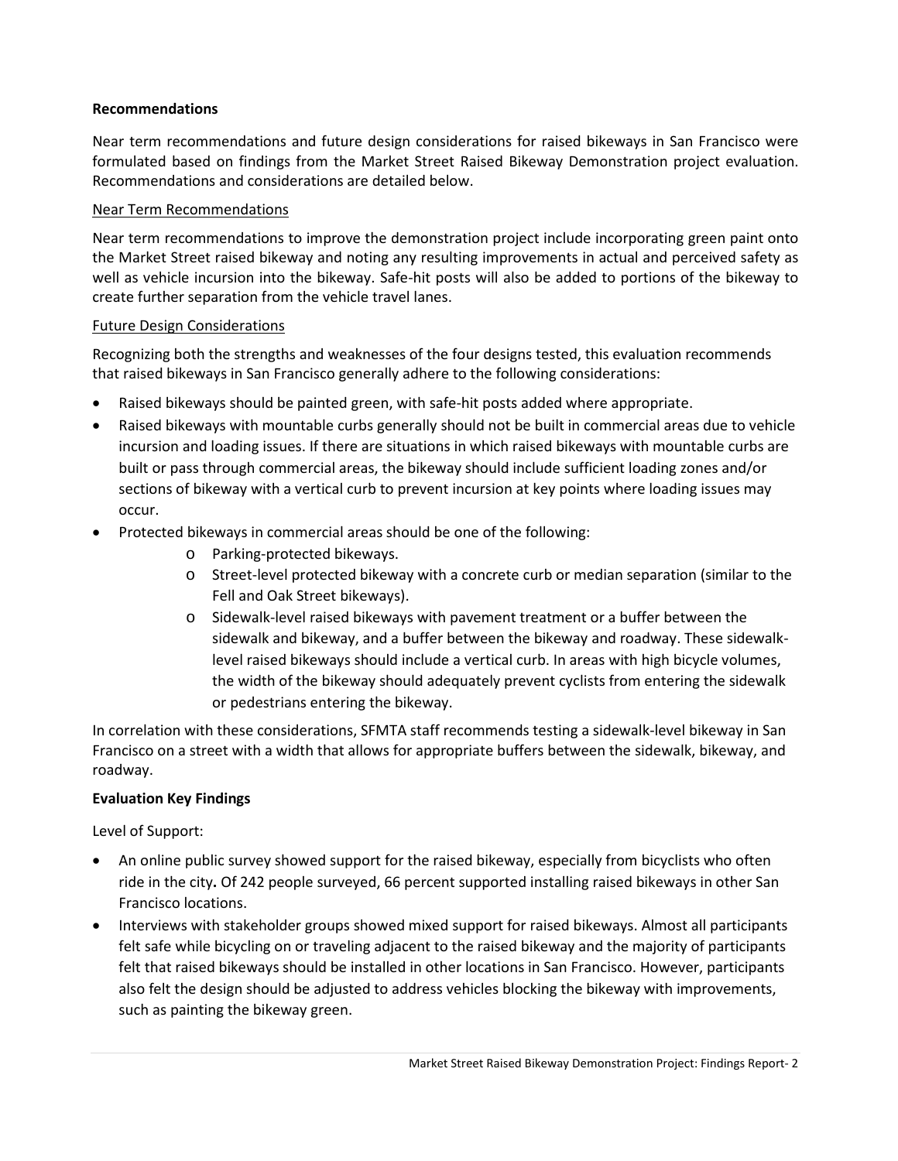## **Recommendations**

Near term recommendations and future design considerations for raised bikeways in San Francisco were formulated based on findings from the Market Street Raised Bikeway Demonstration project evaluation. Recommendations and considerations are detailed below.

### Near Term Recommendations

Near term recommendations to improve the demonstration project include incorporating green paint onto the Market Street raised bikeway and noting any resulting improvements in actual and perceived safety as well as vehicle incursion into the bikeway. Safe-hit posts will also be added to portions of the bikeway to create further separation from the vehicle travel lanes.

### Future Design Considerations

Recognizing both the strengths and weaknesses of the four designs tested, this evaluation recommends that raised bikeways in San Francisco generally adhere to the following considerations:

- Raised bikeways should be painted green, with safe-hit posts added where appropriate.
- Raised bikeways with mountable curbs generally should not be built in commercial areas due to vehicle incursion and loading issues. If there are situations in which raised bikeways with mountable curbs are built or pass through commercial areas, the bikeway should include sufficient loading zones and/or sections of bikeway with a vertical curb to prevent incursion at key points where loading issues may occur.
- Protected bikeways in commercial areas should be one of the following:
	- o Parking-protected bikeways.
	- o Street-level protected bikeway with a concrete curb or median separation (similar to the Fell and Oak Street bikeways).
	- o Sidewalk-level raised bikeways with pavement treatment or a buffer between the sidewalk and bikeway, and a buffer between the bikeway and roadway. These sidewalklevel raised bikeways should include a vertical curb. In areas with high bicycle volumes, the width of the bikeway should adequately prevent cyclists from entering the sidewalk or pedestrians entering the bikeway.

In correlation with these considerations, SFMTA staff recommends testing a sidewalk-level bikeway in San Francisco on a street with a width that allows for appropriate buffers between the sidewalk, bikeway, and roadway.

# **Evaluation Key Findings**

Level of Support:

- An online public survey showed support for the raised bikeway, especially from bicyclists who often ride in the city**.** Of 242 people surveyed, 66 percent supported installing raised bikeways in other San Francisco locations.
- Interviews with stakeholder groups showed mixed support for raised bikeways. Almost all participants felt safe while bicycling on or traveling adjacent to the raised bikeway and the majority of participants felt that raised bikeways should be installed in other locations in San Francisco. However, participants also felt the design should be adjusted to address vehicles blocking the bikeway with improvements, such as painting the bikeway green.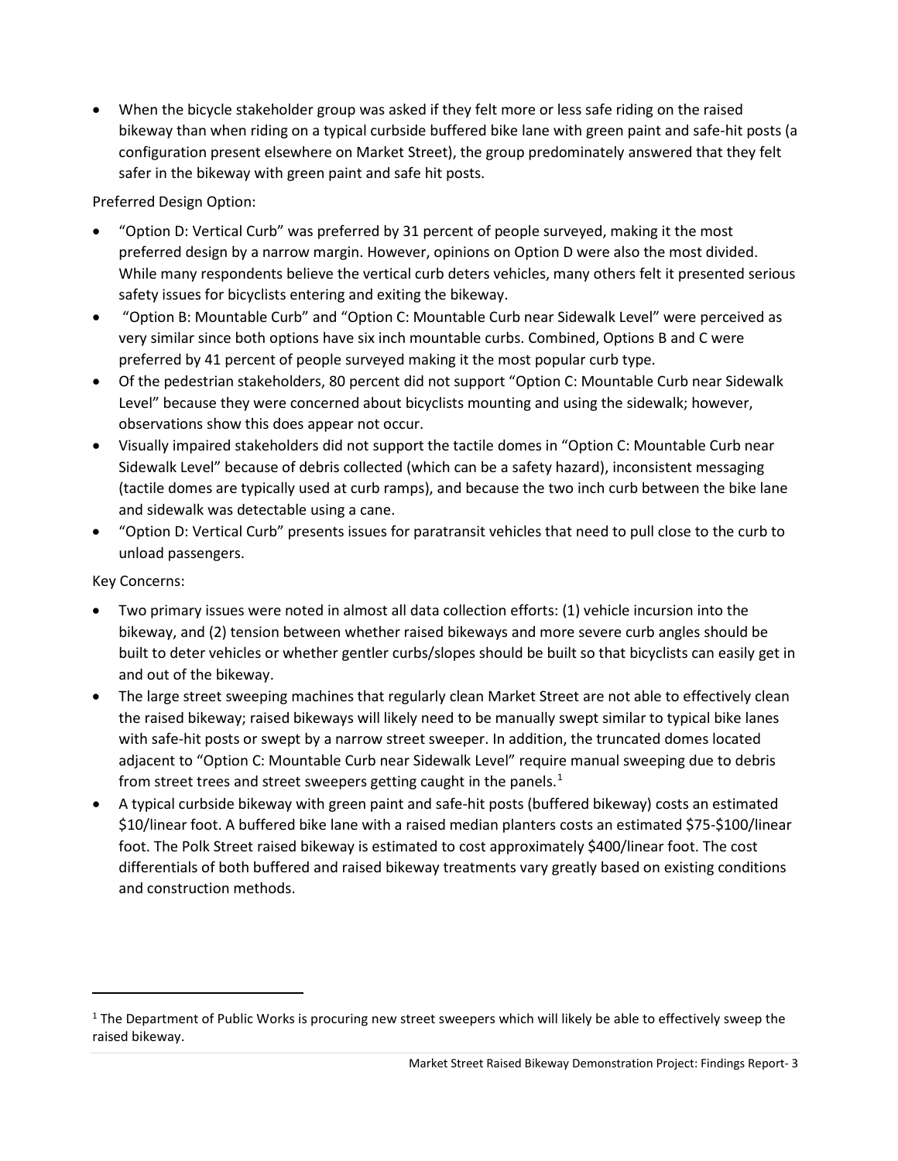• When the bicycle stakeholder group was asked if they felt more or less safe riding on the raised bikeway than when riding on a typical curbside buffered bike lane with green paint and safe-hit posts (a configuration present elsewhere on Market Street), the group predominately answered that they felt safer in the bikeway with green paint and safe hit posts.

Preferred Design Option:

- "Option D: Vertical Curb" was preferred by 31 percent of people surveyed, making it the most preferred design by a narrow margin. However, opinions on Option D were also the most divided. While many respondents believe the vertical curb deters vehicles, many others felt it presented serious safety issues for bicyclists entering and exiting the bikeway.
- "Option B: Mountable Curb" and "Option C: Mountable Curb near Sidewalk Level" were perceived as very similar since both options have six inch mountable curbs. Combined, Options B and C were preferred by 41 percent of people surveyed making it the most popular curb type.
- Of the pedestrian stakeholders, 80 percent did not support "Option C: Mountable Curb near Sidewalk Level" because they were concerned about bicyclists mounting and using the sidewalk; however, observations show this does appear not occur.
- Visually impaired stakeholders did not support the tactile domes in "Option C: Mountable Curb near Sidewalk Level" because of debris collected (which can be a safety hazard), inconsistent messaging (tactile domes are typically used at curb ramps), and because the two inch curb between the bike lane and sidewalk was detectable using a cane.
- "Option D: Vertical Curb" presents issues for paratransit vehicles that need to pull close to the curb to unload passengers.

Key Concerns:

 $\overline{\phantom{a}}$ 

- Two primary issues were noted in almost all data collection efforts: (1) vehicle incursion into the bikeway, and (2) tension between whether raised bikeways and more severe curb angles should be built to deter vehicles or whether gentler curbs/slopes should be built so that bicyclists can easily get in and out of the bikeway.
- The large street sweeping machines that regularly clean Market Street are not able to effectively clean the raised bikeway; raised bikeways will likely need to be manually swept similar to typical bike lanes with safe-hit posts or swept by a narrow street sweeper. In addition, the truncated domes located adjacent to "Option C: Mountable Curb near Sidewalk Level" require manual sweeping due to debris from street trees and street sweepers getting caught in the panels.<sup>[1](#page-2-0)</sup>
- A typical curbside bikeway with green paint and safe-hit posts (buffered bikeway) costs an estimated \$10/linear foot. A buffered bike lane with a raised median planters costs an estimated \$75-\$100/linear foot. The Polk Street raised bikeway is estimated to cost approximately \$400/linear foot. The cost differentials of both buffered and raised bikeway treatments vary greatly based on existing conditions and construction methods.

<span id="page-2-0"></span> $1$  The Department of Public Works is procuring new street sweepers which will likely be able to effectively sweep the raised bikeway.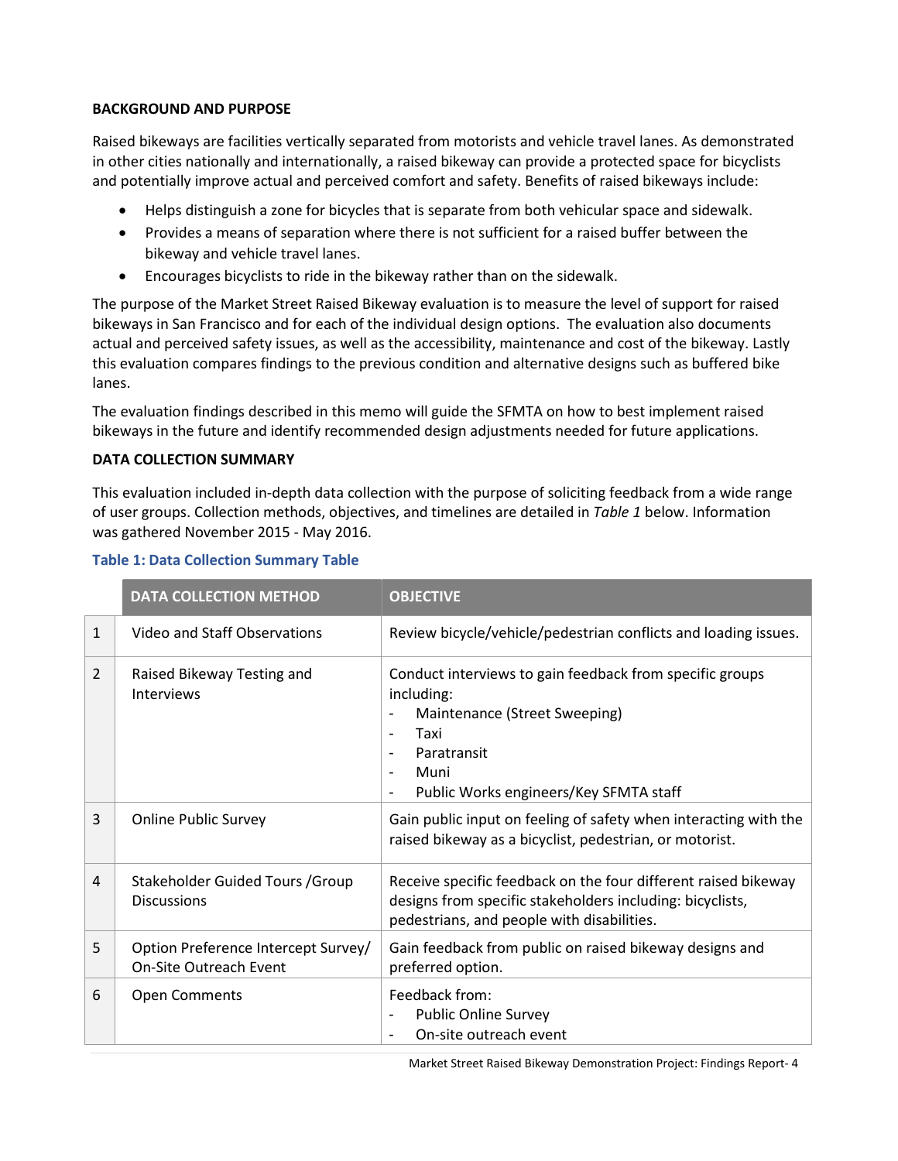## **BACKGROUND AND PURPOSE**

Raised bikeways are facilities vertically separated from motorists and vehicle travel lanes. As demonstrated in other cities nationally and internationally, a raised bikeway can provide a protected space for bicyclists and potentially improve actual and perceived comfort and safety. Benefits of raised bikeways include:

- Helps distinguish a zone for bicycles that is separate from both vehicular space and sidewalk.
- Provides a means of separation where there is not sufficient for a raised buffer between the bikeway and vehicle travel lanes.
- Encourages bicyclists to ride in the bikeway rather than on the sidewalk.

The purpose of the Market Street Raised Bikeway evaluation is to measure the level of support for raised bikeways in San Francisco and for each of the individual design options. The evaluation also documents actual and perceived safety issues, as well as the accessibility, maintenance and cost of the bikeway. Lastly this evaluation compares findings to the previous condition and alternative designs such as buffered bike lanes.

The evaluation findings described in this memo will guide the SFMTA on how to best implement raised bikeways in the future and identify recommended design adjustments needed for future applications.

### **DATA COLLECTION SUMMARY**

This evaluation included in-depth data collection with the purpose of soliciting feedback from a wide range of user groups. Collection methods, objectives, and timelines are detailed in *Table 1* below. Information was gathered November 2015 - May 2016.

|                | <b>DATA COLLECTION METHOD</b>                                        | <b>OBJECTIVE</b>                                                                                                                                                                                |
|----------------|----------------------------------------------------------------------|-------------------------------------------------------------------------------------------------------------------------------------------------------------------------------------------------|
| $\mathbf{1}$   | Video and Staff Observations                                         | Review bicycle/vehicle/pedestrian conflicts and loading issues.                                                                                                                                 |
| 2              | Raised Bikeway Testing and<br><b>Interviews</b>                      | Conduct interviews to gain feedback from specific groups<br>including:<br>Maintenance (Street Sweeping)<br>Taxi<br>٠<br>Paratransit<br>٠<br>Muni<br>٠<br>Public Works engineers/Key SFMTA staff |
| 3              | <b>Online Public Survey</b>                                          | Gain public input on feeling of safety when interacting with the<br>raised bikeway as a bicyclist, pedestrian, or motorist.                                                                     |
| $\overline{4}$ | Stakeholder Guided Tours / Group<br><b>Discussions</b>               | Receive specific feedback on the four different raised bikeway<br>designs from specific stakeholders including: bicyclists,<br>pedestrians, and people with disabilities.                       |
| 5              | Option Preference Intercept Survey/<br><b>On-Site Outreach Event</b> | Gain feedback from public on raised bikeway designs and<br>preferred option.                                                                                                                    |
| 6              | <b>Open Comments</b>                                                 | Feedback from:<br><b>Public Online Survey</b><br>On-site outreach event                                                                                                                         |

### **Table 1: Data Collection Summary Table**

Market Street Raised Bikeway Demonstration Project: Findings Report- 4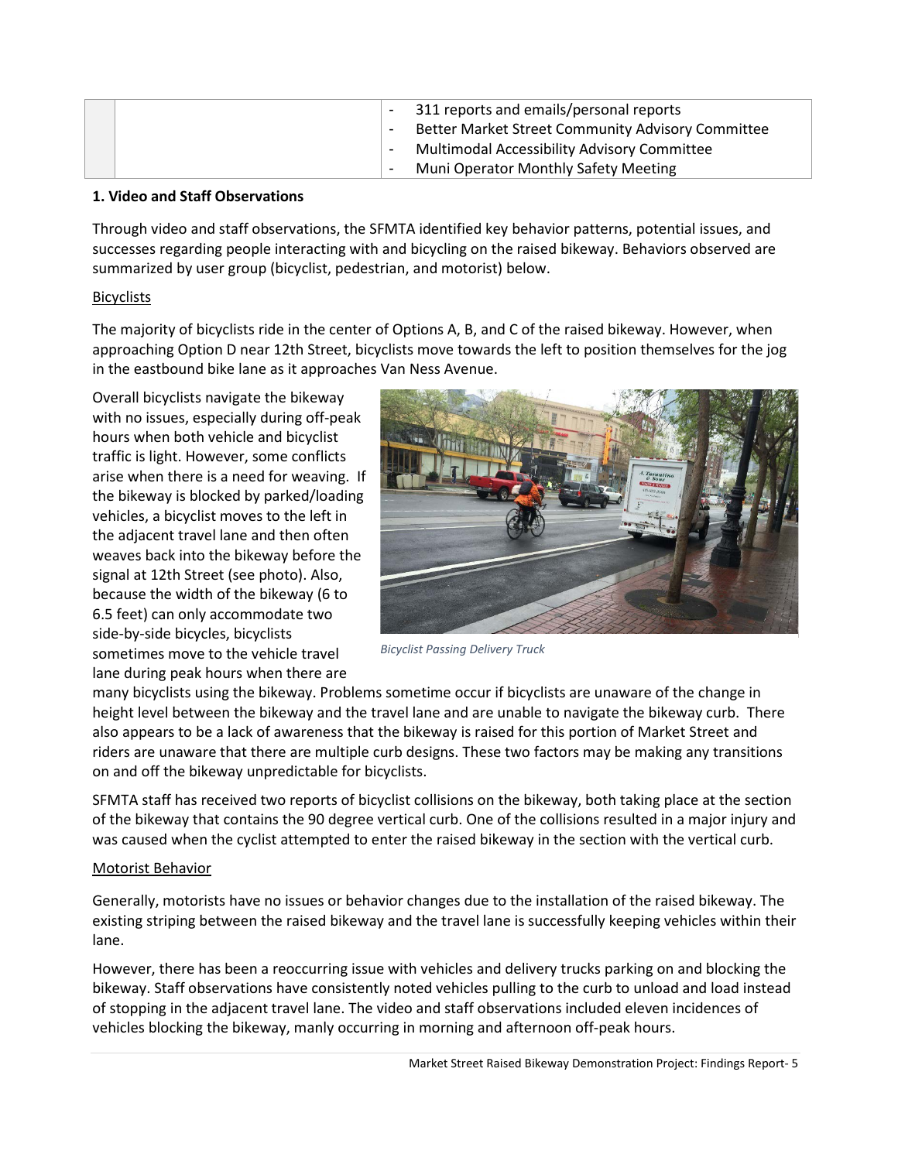|  | 311 reports and emails/personal reports<br>Better Market Street Community Advisory Committee |
|--|----------------------------------------------------------------------------------------------|
|  | Multimodal Accessibility Advisory Committee                                                  |
|  | <b>Muni Operator Monthly Safety Meeting</b>                                                  |

### **1. Video and Staff Observations**

Through video and staff observations, the SFMTA identified key behavior patterns, potential issues, and successes regarding people interacting with and bicycling on the raised bikeway. Behaviors observed are summarized by user group (bicyclist, pedestrian, and motorist) below.

# **Bicyclists**

The majority of bicyclists ride in the center of Options A, B, and C of the raised bikeway. However, when approaching Option D near 12th Street, bicyclists move towards the left to position themselves for the jog in the eastbound bike lane as it approaches Van Ness Avenue.

Overall bicyclists navigate the bikeway with no issues, especially during off-peak hours when both vehicle and bicyclist traffic is light. However, some conflicts arise when there is a need for weaving. If the bikeway is blocked by parked/loading vehicles, a bicyclist moves to the left in the adjacent travel lane and then often weaves back into the bikeway before the signal at 12th Street (see photo). Also, because the width of the bikeway (6 to 6.5 feet) can only accommodate two side-by-side bicycles, bicyclists sometimes move to the vehicle travel lane during peak hours when there are



*Bicyclist Passing Delivery Truck*

many bicyclists using the bikeway. Problems sometime occur if bicyclists are unaware of the change in height level between the bikeway and the travel lane and are unable to navigate the bikeway curb. There also appears to be a lack of awareness that the bikeway is raised for this portion of Market Street and riders are unaware that there are multiple curb designs. These two factors may be making any transitions on and off the bikeway unpredictable for bicyclists.

SFMTA staff has received two reports of bicyclist collisions on the bikeway, both taking place at the section of the bikeway that contains the 90 degree vertical curb. One of the collisions resulted in a major injury and was caused when the cyclist attempted to enter the raised bikeway in the section with the vertical curb.

# Motorist Behavior

Generally, motorists have no issues or behavior changes due to the installation of the raised bikeway. The existing striping between the raised bikeway and the travel lane is successfully keeping vehicles within their lane.

However, there has been a reoccurring issue with vehicles and delivery trucks parking on and blocking the bikeway. Staff observations have consistently noted vehicles pulling to the curb to unload and load instead of stopping in the adjacent travel lane. The video and staff observations included eleven incidences of vehicles blocking the bikeway, manly occurring in morning and afternoon off-peak hours.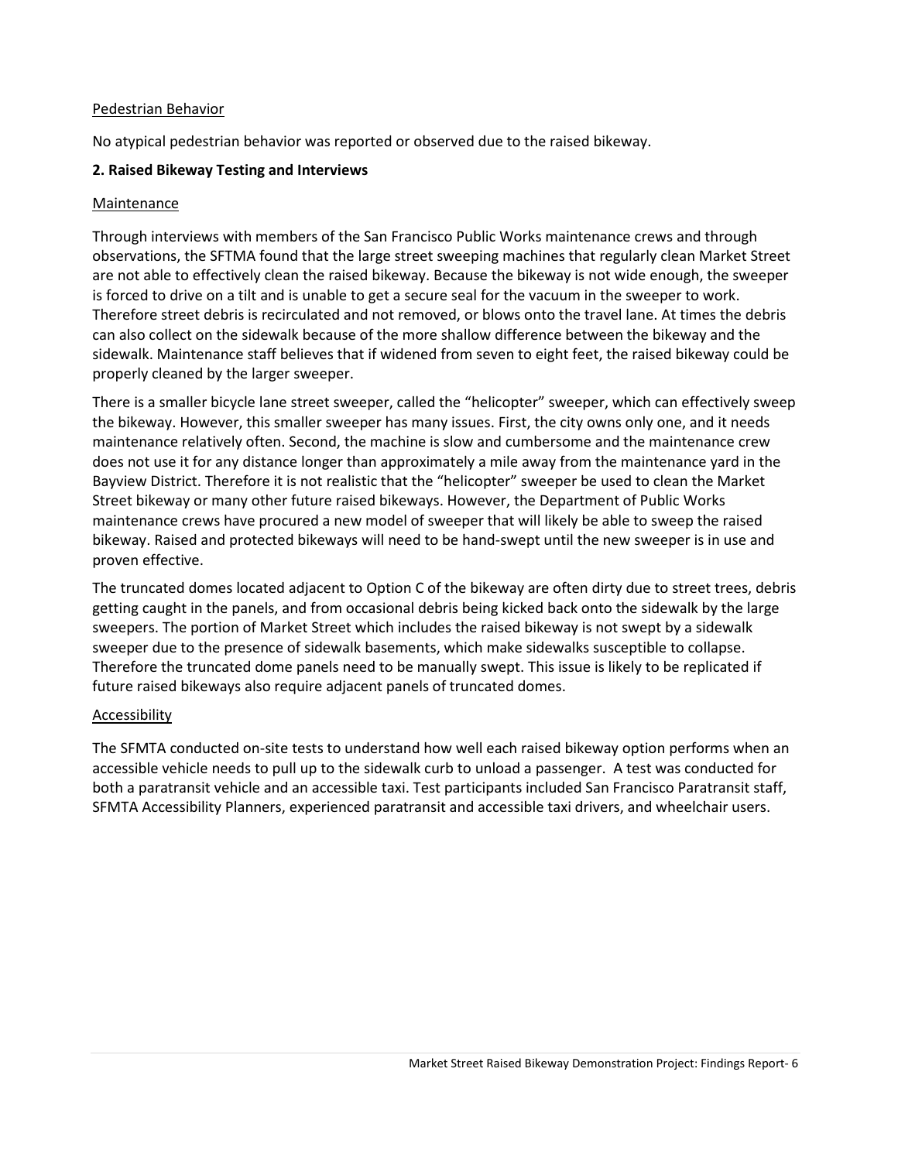### Pedestrian Behavior

No atypical pedestrian behavior was reported or observed due to the raised bikeway.

### **2. Raised Bikeway Testing and Interviews**

### Maintenance

Through interviews with members of the San Francisco Public Works maintenance crews and through observations, the SFTMA found that the large street sweeping machines that regularly clean Market Street are not able to effectively clean the raised bikeway. Because the bikeway is not wide enough, the sweeper is forced to drive on a tilt and is unable to get a secure seal for the vacuum in the sweeper to work. Therefore street debris is recirculated and not removed, or blows onto the travel lane. At times the debris can also collect on the sidewalk because of the more shallow difference between the bikeway and the sidewalk. Maintenance staff believes that if widened from seven to eight feet, the raised bikeway could be properly cleaned by the larger sweeper.

There is a smaller bicycle lane street sweeper, called the "helicopter" sweeper, which can effectively sweep the bikeway. However, this smaller sweeper has many issues. First, the city owns only one, and it needs maintenance relatively often. Second, the machine is slow and cumbersome and the maintenance crew does not use it for any distance longer than approximately a mile away from the maintenance yard in the Bayview District. Therefore it is not realistic that the "helicopter" sweeper be used to clean the Market Street bikeway or many other future raised bikeways. However, the Department of Public Works maintenance crews have procured a new model of sweeper that will likely be able to sweep the raised bikeway. Raised and protected bikeways will need to be hand-swept until the new sweeper is in use and proven effective.

The truncated domes located adjacent to Option C of the bikeway are often dirty due to street trees, debris getting caught in the panels, and from occasional debris being kicked back onto the sidewalk by the large sweepers. The portion of Market Street which includes the raised bikeway is not swept by a sidewalk sweeper due to the presence of sidewalk basements, which make sidewalks susceptible to collapse. Therefore the truncated dome panels need to be manually swept. This issue is likely to be replicated if future raised bikeways also require adjacent panels of truncated domes.

### Accessibility

The SFMTA conducted on-site tests to understand how well each raised bikeway option performs when an accessible vehicle needs to pull up to the sidewalk curb to unload a passenger. A test was conducted for both a paratransit vehicle and an accessible taxi. Test participants included San Francisco Paratransit staff, SFMTA Accessibility Planners, experienced paratransit and accessible taxi drivers, and wheelchair users.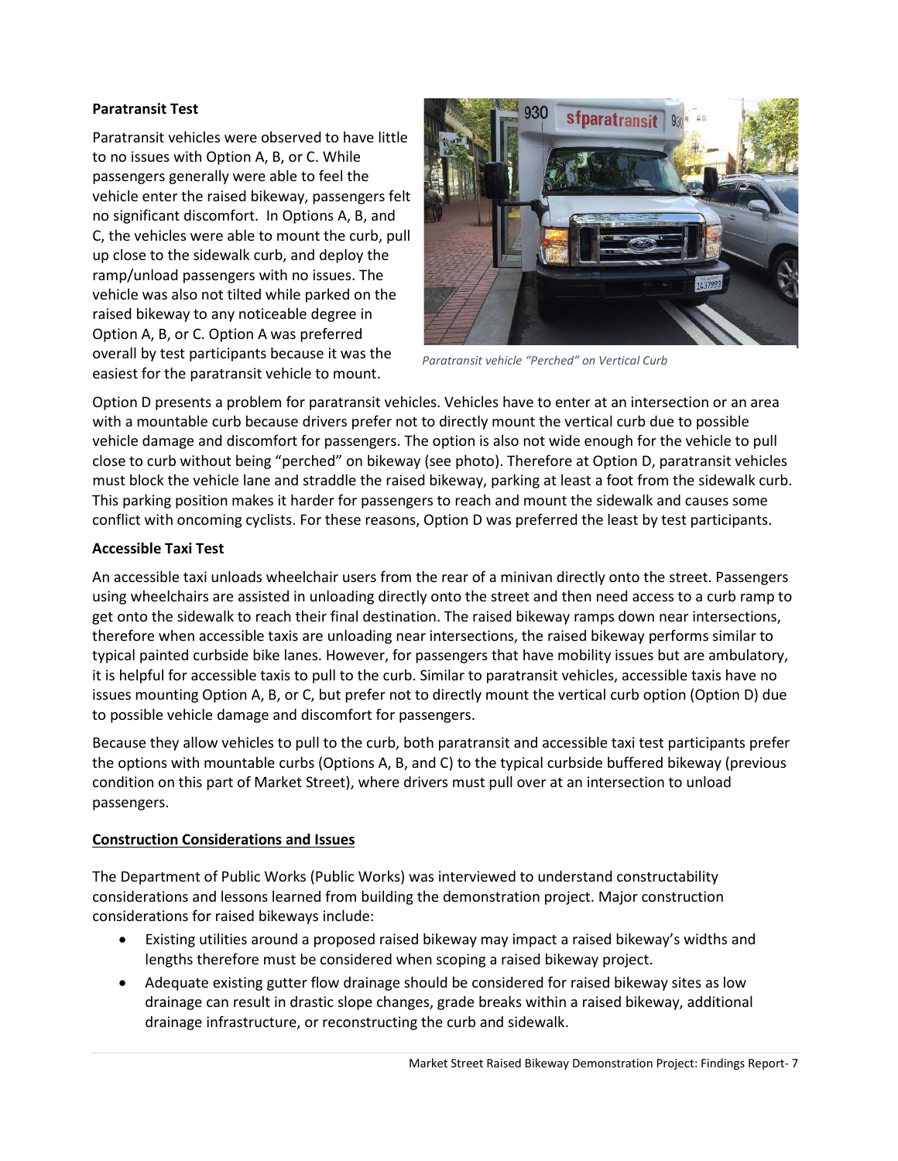# **Paratransit Test**

Paratransit vehicles were observed to have little to no issues with Option A, B, or C. While passengers generally were able to feel the vehicle enter the raised bikeway, passengers felt no significant discomfort. In Options A, B, and C, the vehicles were able to mount the curb, pull up close to the sidewalk curb, and deploy the ramp/unload passengers with no issues. The vehicle was also not tilted while parked on the raised bikeway to any noticeable degree in Option A, B, or C. Option A was preferred overall by test participants because it was the easiest for the paratransit vehicle to mount.



*Paratransit vehicle "Perched" on Vertical Curb*

Option D presents a problem for paratransit vehicles. Vehicles have to enter at an intersection or an area with a mountable curb because drivers prefer not to directly mount the vertical curb due to possible vehicle damage and discomfort for passengers. The option is also not wide enough for the vehicle to pull close to curb without being "perched" on bikeway (see photo). Therefore at Option D, paratransit vehicles must block the vehicle lane and straddle the raised bikeway, parking at least a foot from the sidewalk curb. This parking position makes it harder for passengers to reach and mount the sidewalk and causes some conflict with oncoming cyclists. For these reasons, Option D was preferred the least by test participants.

### **Accessible Taxi Test**

An accessible taxi unloads wheelchair users from the rear of a minivan directly onto the street. Passengers using wheelchairs are assisted in unloading directly onto the street and then need access to a curb ramp to get onto the sidewalk to reach their final destination. The raised bikeway ramps down near intersections, therefore when accessible taxis are unloading near intersections, the raised bikeway performs similar to typical painted curbside bike lanes. However, for passengers that have mobility issues but are ambulatory, it is helpful for accessible taxis to pull to the curb. Similar to paratransit vehicles, accessible taxis have no issues mounting Option A, B, or C, but prefer not to directly mount the vertical curb option (Option D) due to possible vehicle damage and discomfort for passengers.

Because they allow vehicles to pull to the curb, both paratransit and accessible taxi test participants prefer the options with mountable curbs (Options A, B, and C) to the typical curbside buffered bikeway (previous condition on this part of Market Street), where drivers must pull over at an intersection to unload passengers.

### **Construction Considerations and Issues**

The Department of Public Works (Public Works) was interviewed to understand constructability considerations and lessons learned from building the demonstration project. Major construction considerations for raised bikeways include:

- Existing utilities around a proposed raised bikeway may impact a raised bikeway's widths and lengths therefore must be considered when scoping a raised bikeway project.
- Adequate existing gutter flow drainage should be considered for raised bikeway sites as low drainage can result in drastic slope changes, grade breaks within a raised bikeway, additional drainage infrastructure, or reconstructing the curb and sidewalk.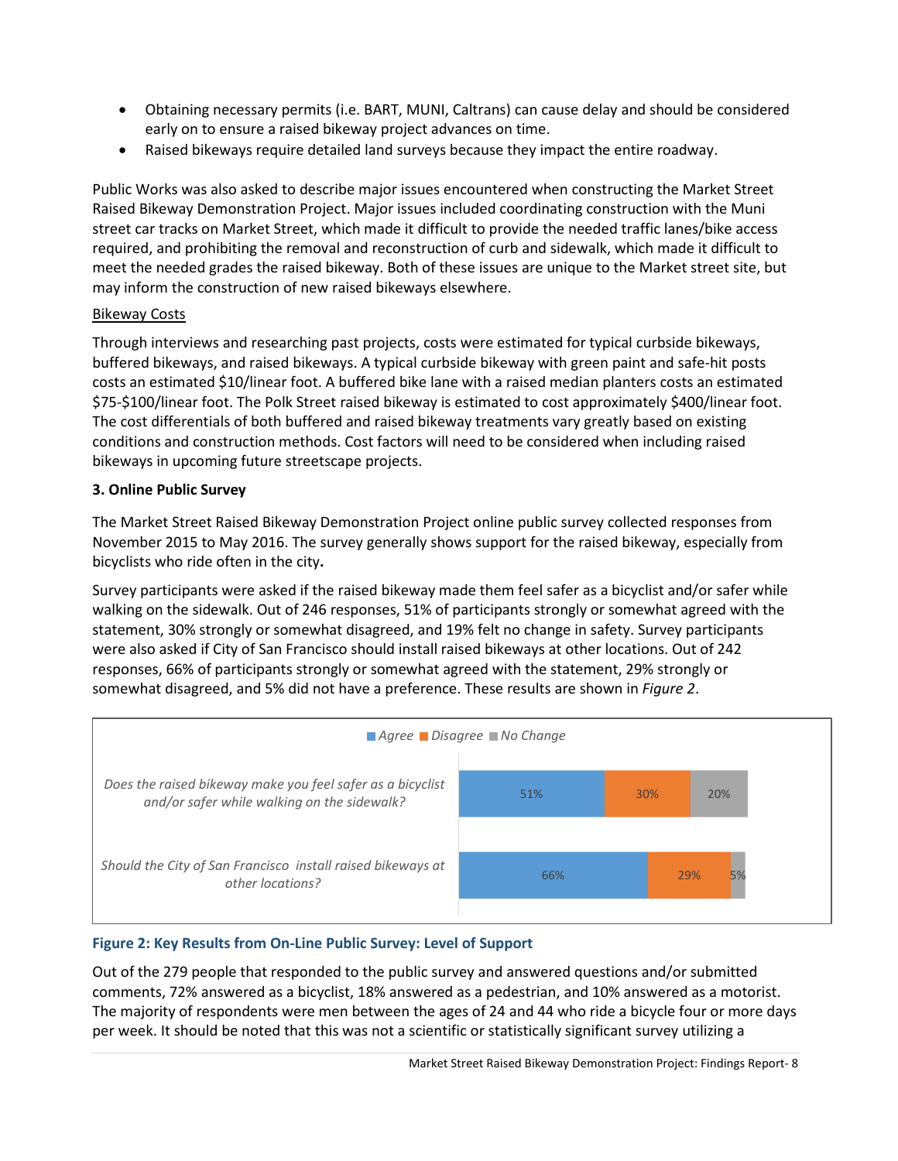- Obtaining necessary permits (i.e. BART, MUNI, Caltrans) can cause delay and should be considered early on to ensure a raised bikeway project advances on time.
- Raised bikeways require detailed land surveys because they impact the entire roadway.

Public Works was also asked to describe major issues encountered when constructing the Market Street Raised Bikeway Demonstration Project. Major issues included coordinating construction with the Muni street car tracks on Market Street, which made it difficult to provide the needed traffic lanes/bike access required, and prohibiting the removal and reconstruction of curb and sidewalk, which made it difficult to meet the needed grades the raised bikeway. Both of these issues are unique to the Market street site, but may inform the construction of new raised bikeways elsewhere.

### Bikeway Costs

Through interviews and researching past projects, costs were estimated for typical curbside bikeways, buffered bikeways, and raised bikeways. A typical curbside bikeway with green paint and safe-hit posts costs an estimated \$10/linear foot. A buffered bike lane with a raised median planters costs an estimated \$75-\$100/linear foot. The Polk Street raised bikeway is estimated to cost approximately \$400/linear foot. The cost differentials of both buffered and raised bikeway treatments vary greatly based on existing conditions and construction methods. Cost factors will need to be considered when including raised bikeways in upcoming future streetscape projects.

### **3. Online Public Survey**

The Market Street Raised Bikeway Demonstration Project online public survey collected responses from November 2015 to May 2016. The survey generally shows support for the raised bikeway, especially from bicyclists who ride often in the city**.** 

Survey participants were asked if the raised bikeway made them feel safer as a bicyclist and/or safer while walking on the sidewalk. Out of 246 responses, 51% of participants strongly or somewhat agreed with the statement, 30% strongly or somewhat disagreed, and 19% felt no change in safety. Survey participants were also asked if City of San Francisco should install raised bikeways at other locations. Out of 242 responses, 66% of participants strongly or somewhat agreed with the statement, 29% strongly or somewhat disagreed, and 5% did not have a preference. These results are shown in *Figure 2*.



# **Figure 2: Key Results from On-Line Public Survey: Level of Support**

Out of the 279 people that responded to the public survey and answered questions and/or submitted comments, 72% answered as a bicyclist, 18% answered as a pedestrian, and 10% answered as a motorist. The majority of respondents were men between the ages of 24 and 44 who ride a bicycle four or more days per week. It should be noted that this was not a scientific or statistically significant survey utilizing a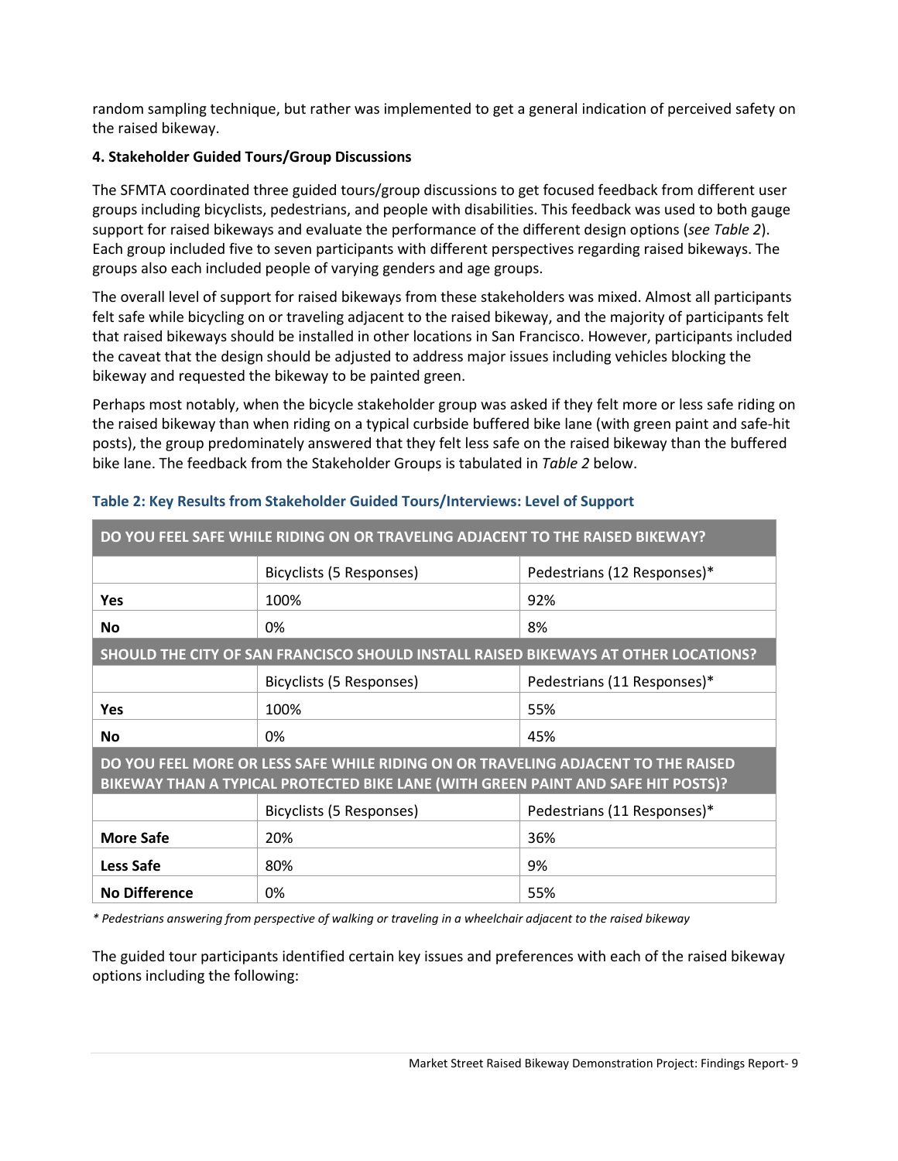random sampling technique, but rather was implemented to get a general indication of perceived safety on the raised bikeway.

# **4. Stakeholder Guided Tours/Group Discussions**

The SFMTA coordinated three guided tours/group discussions to get focused feedback from different user groups including bicyclists, pedestrians, and people with disabilities. This feedback was used to both gauge support for raised bikeways and evaluate the performance of the different design options (*see Table 2*). Each group included five to seven participants with different perspectives regarding raised bikeways. The groups also each included people of varying genders and age groups.

The overall level of support for raised bikeways from these stakeholders was mixed. Almost all participants felt safe while bicycling on or traveling adjacent to the raised bikeway, and the majority of participants felt that raised bikeways should be installed in other locations in San Francisco. However, participants included the caveat that the design should be adjusted to address major issues including vehicles blocking the bikeway and requested the bikeway to be painted green.

Perhaps most notably, when the bicycle stakeholder group was asked if they felt more or less safe riding on the raised bikeway than when riding on a typical curbside buffered bike lane (with green paint and safe-hit posts), the group predominately answered that they felt less safe on the raised bikeway than the buffered bike lane. The feedback from the Stakeholder Groups is tabulated in *Table 2* below.

| DO YOU FEEL SAFE WHILE RIDING ON OR TRAVELING ADJACENT TO THE RAISED BIKEWAY?                                                                                          |                                                         |                             |  |  |  |  |
|------------------------------------------------------------------------------------------------------------------------------------------------------------------------|---------------------------------------------------------|-----------------------------|--|--|--|--|
|                                                                                                                                                                        | Bicyclists (5 Responses)                                | Pedestrians (12 Responses)* |  |  |  |  |
| <b>Yes</b>                                                                                                                                                             | 100%                                                    | 92%                         |  |  |  |  |
| <b>No</b>                                                                                                                                                              | 8%<br>0%                                                |                             |  |  |  |  |
| SHOULD THE CITY OF SAN FRANCISCO SHOULD INSTALL RAISED BIKEWAYS AT OTHER LOCATIONS?                                                                                    |                                                         |                             |  |  |  |  |
|                                                                                                                                                                        | Bicyclists (5 Responses)<br>Pedestrians (11 Responses)* |                             |  |  |  |  |
| <b>Yes</b>                                                                                                                                                             | 100%<br>55%                                             |                             |  |  |  |  |
| <b>No</b>                                                                                                                                                              | 0%<br>45%                                               |                             |  |  |  |  |
| DO YOU FEEL MORE OR LESS SAFE WHILE RIDING ON OR TRAVELING ADJACENT TO THE RAISED<br>BIKEWAY THAN A TYPICAL PROTECTED BIKE LANE (WITH GREEN PAINT AND SAFE HIT POSTS)? |                                                         |                             |  |  |  |  |
|                                                                                                                                                                        | Bicyclists (5 Responses)<br>Pedestrians (11 Responses)* |                             |  |  |  |  |
| <b>More Safe</b>                                                                                                                                                       | 20%                                                     | 36%                         |  |  |  |  |
| <b>Less Safe</b>                                                                                                                                                       | 80%                                                     | 9%                          |  |  |  |  |
| <b>No Difference</b>                                                                                                                                                   | 0%                                                      | 55%                         |  |  |  |  |

# **Table 2: Key Results from Stakeholder Guided Tours/Interviews: Level of Support**

*\* Pedestrians answering from perspective of walking or traveling in a wheelchair adjacent to the raised bikeway*

The guided tour participants identified certain key issues and preferences with each of the raised bikeway options including the following: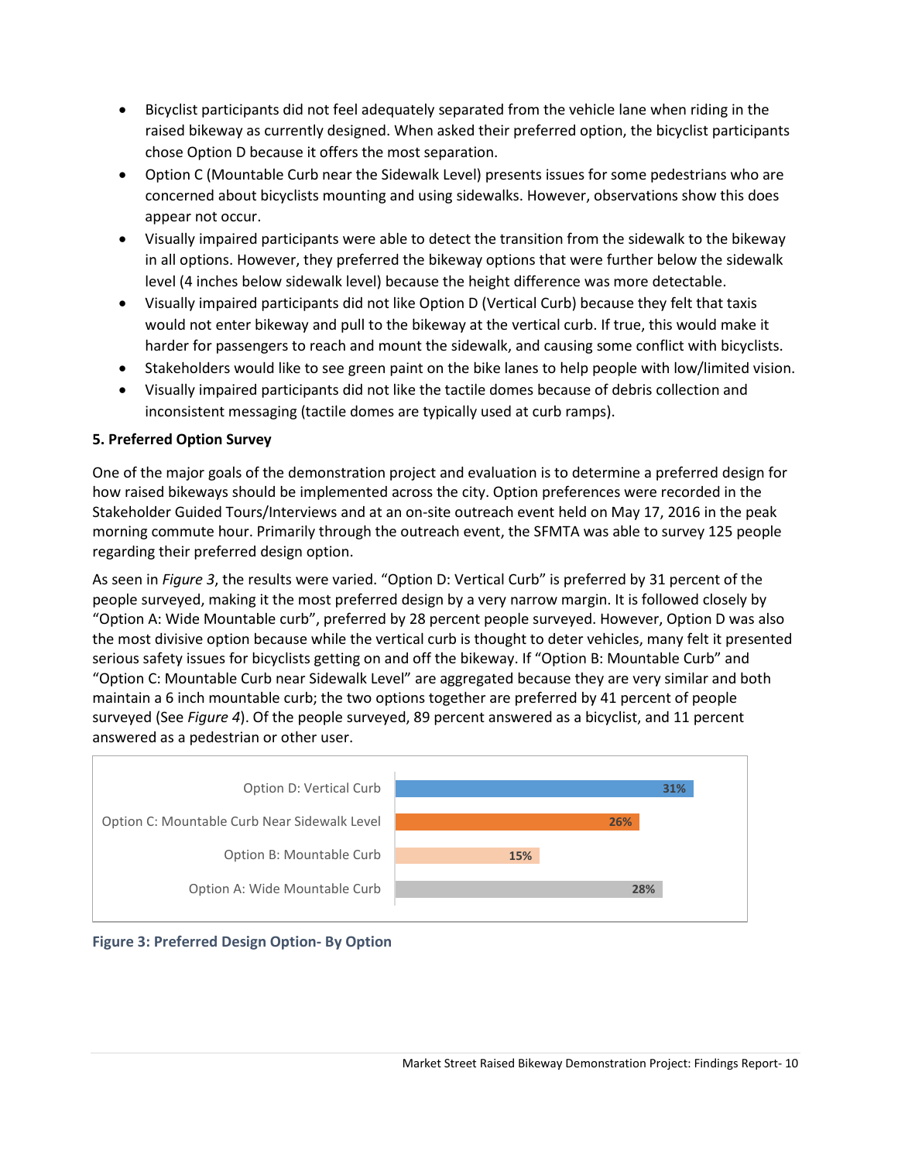- Bicyclist participants did not feel adequately separated from the vehicle lane when riding in the raised bikeway as currently designed. When asked their preferred option, the bicyclist participants chose Option D because it offers the most separation.
- Option C (Mountable Curb near the Sidewalk Level) presents issues for some pedestrians who are concerned about bicyclists mounting and using sidewalks. However, observations show this does appear not occur.
- Visually impaired participants were able to detect the transition from the sidewalk to the bikeway in all options. However, they preferred the bikeway options that were further below the sidewalk level (4 inches below sidewalk level) because the height difference was more detectable.
- Visually impaired participants did not like Option D (Vertical Curb) because they felt that taxis would not enter bikeway and pull to the bikeway at the vertical curb. If true, this would make it harder for passengers to reach and mount the sidewalk, and causing some conflict with bicyclists.
- Stakeholders would like to see green paint on the bike lanes to help people with low/limited vision.
- Visually impaired participants did not like the tactile domes because of debris collection and inconsistent messaging (tactile domes are typically used at curb ramps).

# **5. Preferred Option Survey**

One of the major goals of the demonstration project and evaluation is to determine a preferred design for how raised bikeways should be implemented across the city. Option preferences were recorded in the Stakeholder Guided Tours/Interviews and at an on-site outreach event held on May 17, 2016 in the peak morning commute hour. Primarily through the outreach event, the SFMTA was able to survey 125 people regarding their preferred design option.

As seen in *Figure 3*, the results were varied. "Option D: Vertical Curb" is preferred by 31 percent of the people surveyed, making it the most preferred design by a very narrow margin. It is followed closely by "Option A: Wide Mountable curb", preferred by 28 percent people surveyed. However, Option D was also the most divisive option because while the vertical curb is thought to deter vehicles, many felt it presented serious safety issues for bicyclists getting on and off the bikeway. If "Option B: Mountable Curb" and "Option C: Mountable Curb near Sidewalk Level" are aggregated because they are very similar and both maintain a 6 inch mountable curb; the two options together are preferred by 41 percent of people surveyed (See *Figure 4*). Of the people surveyed, 89 percent answered as a bicyclist, and 11 percent answered as a pedestrian or other user.



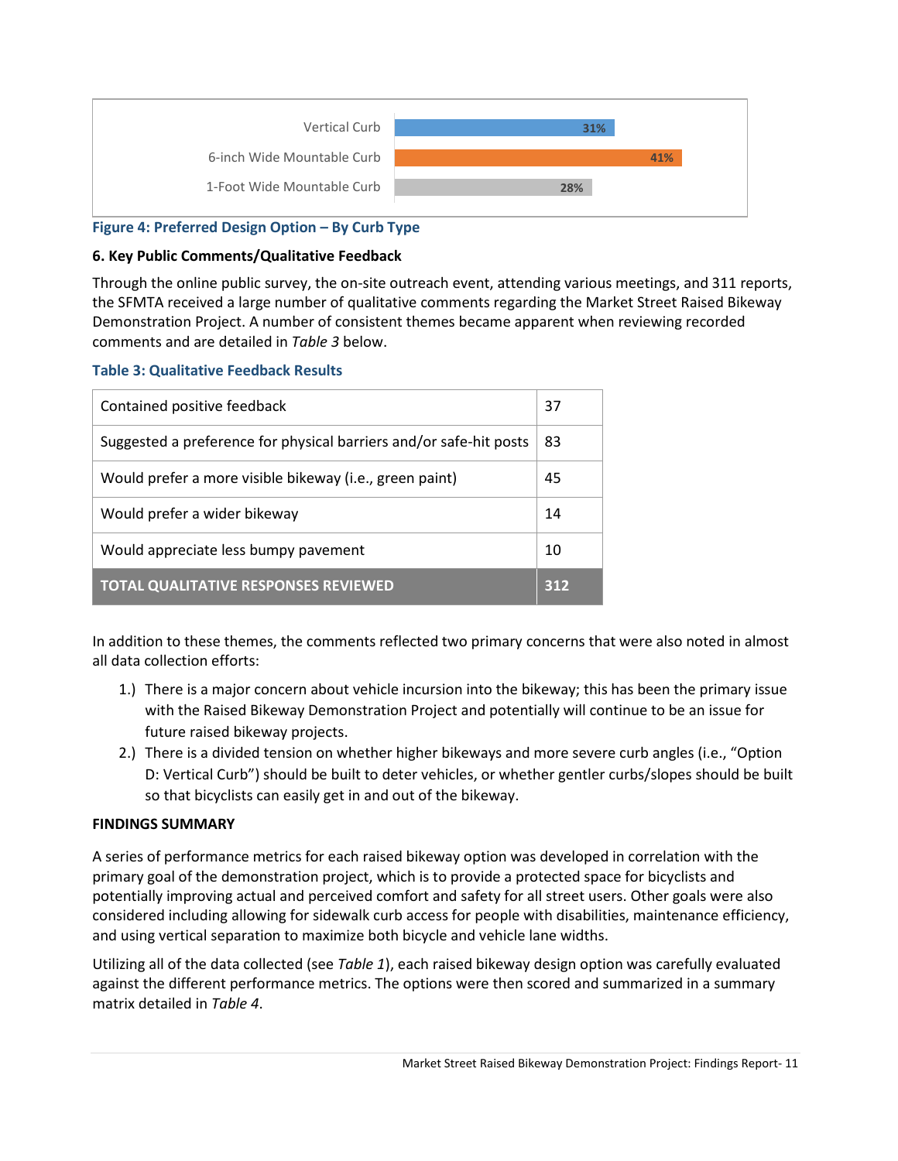

## **Figure 4: Preferred Design Option – By Curb Type**

### **6. Key Public Comments/Qualitative Feedback**

Through the online public survey, the on-site outreach event, attending various meetings, and 311 reports, the SFMTA received a large number of qualitative comments regarding the Market Street Raised Bikeway Demonstration Project. A number of consistent themes became apparent when reviewing recorded comments and are detailed in *Table 3* below.

### **Table 3: Qualitative Feedback Results**

| Contained positive feedback                                        |  |  |  |
|--------------------------------------------------------------------|--|--|--|
| Suggested a preference for physical barriers and/or safe-hit posts |  |  |  |
| Would prefer a more visible bikeway (i.e., green paint)            |  |  |  |
| Would prefer a wider bikeway                                       |  |  |  |
| Would appreciate less bumpy pavement                               |  |  |  |
| <b>TOTAL QUALITATIVE RESPONSES REVIEWED</b>                        |  |  |  |

In addition to these themes, the comments reflected two primary concerns that were also noted in almost all data collection efforts:

- 1.) There is a major concern about vehicle incursion into the bikeway; this has been the primary issue with the Raised Bikeway Demonstration Project and potentially will continue to be an issue for future raised bikeway projects.
- 2.) There is a divided tension on whether higher bikeways and more severe curb angles (i.e., "Option D: Vertical Curb") should be built to deter vehicles, or whether gentler curbs/slopes should be built so that bicyclists can easily get in and out of the bikeway.

### **FINDINGS SUMMARY**

A series of performance metrics for each raised bikeway option was developed in correlation with the primary goal of the demonstration project, which is to provide a protected space for bicyclists and potentially improving actual and perceived comfort and safety for all street users. Other goals were also considered including allowing for sidewalk curb access for people with disabilities, maintenance efficiency, and using vertical separation to maximize both bicycle and vehicle lane widths.

Utilizing all of the data collected (see *Table 1*), each raised bikeway design option was carefully evaluated against the different performance metrics. The options were then scored and summarized in a summary matrix detailed in *Table 4*.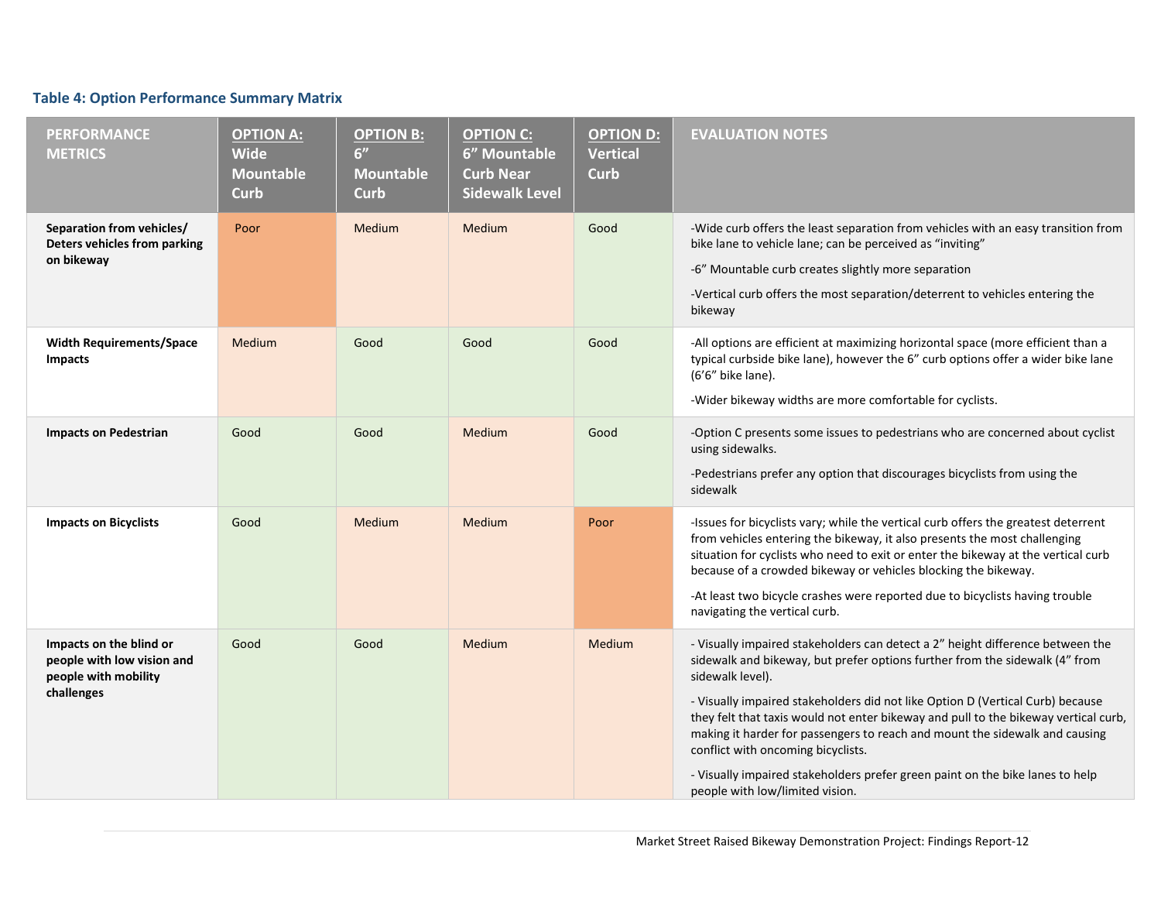# **Table 4: Option Performance Summary Matrix**

| <b>PERFORMANCE</b><br><b>METRICS</b>                                                        | <b>OPTION A:</b><br><b>Wide</b><br>Mountable<br>Curb | <b>OPTION B:</b><br>6"<br><b>Mountable</b><br><b>Curb</b> | <b>OPTION C:</b><br>6" Mountable<br><b>Curb Near</b><br><b>Sidewalk Level</b> | <b>OPTION D:</b><br><b>Vertical</b><br><b>Curb</b> | <b>EVALUATION NOTES</b>                                                                                                                                                                                                                                                                                                                                                                                                                                                                                                                                                                             |
|---------------------------------------------------------------------------------------------|------------------------------------------------------|-----------------------------------------------------------|-------------------------------------------------------------------------------|----------------------------------------------------|-----------------------------------------------------------------------------------------------------------------------------------------------------------------------------------------------------------------------------------------------------------------------------------------------------------------------------------------------------------------------------------------------------------------------------------------------------------------------------------------------------------------------------------------------------------------------------------------------------|
| Separation from vehicles/<br>Deters vehicles from parking<br>on bikeway                     | Poor                                                 | Medium                                                    | Medium                                                                        | Good                                               | -Wide curb offers the least separation from vehicles with an easy transition from<br>bike lane to vehicle lane; can be perceived as "inviting"<br>-6" Mountable curb creates slightly more separation<br>-Vertical curb offers the most separation/deterrent to vehicles entering the<br>bikeway                                                                                                                                                                                                                                                                                                    |
| <b>Width Requirements/Space</b><br><b>Impacts</b>                                           | Medium                                               | Good                                                      | Good                                                                          | Good                                               | -All options are efficient at maximizing horizontal space (more efficient than a<br>typical curbside bike lane), however the 6" curb options offer a wider bike lane<br>(6'6" bike lane).<br>-Wider bikeway widths are more comfortable for cyclists.                                                                                                                                                                                                                                                                                                                                               |
| <b>Impacts on Pedestrian</b>                                                                | Good                                                 | Good                                                      | Medium                                                                        | Good                                               | -Option C presents some issues to pedestrians who are concerned about cyclist<br>using sidewalks.<br>-Pedestrians prefer any option that discourages bicyclists from using the<br>sidewalk                                                                                                                                                                                                                                                                                                                                                                                                          |
| <b>Impacts on Bicyclists</b>                                                                | Good                                                 | Medium                                                    | Medium                                                                        | Poor                                               | -Issues for bicyclists vary; while the vertical curb offers the greatest deterrent<br>from vehicles entering the bikeway, it also presents the most challenging<br>situation for cyclists who need to exit or enter the bikeway at the vertical curb<br>because of a crowded bikeway or vehicles blocking the bikeway.<br>-At least two bicycle crashes were reported due to bicyclists having trouble<br>navigating the vertical curb.                                                                                                                                                             |
| Impacts on the blind or<br>people with low vision and<br>people with mobility<br>challenges | Good                                                 | Good                                                      | Medium                                                                        | Medium                                             | - Visually impaired stakeholders can detect a 2" height difference between the<br>sidewalk and bikeway, but prefer options further from the sidewalk (4" from<br>sidewalk level).<br>- Visually impaired stakeholders did not like Option D (Vertical Curb) because<br>they felt that taxis would not enter bikeway and pull to the bikeway vertical curb,<br>making it harder for passengers to reach and mount the sidewalk and causing<br>conflict with oncoming bicyclists.<br>- Visually impaired stakeholders prefer green paint on the bike lanes to help<br>people with low/limited vision. |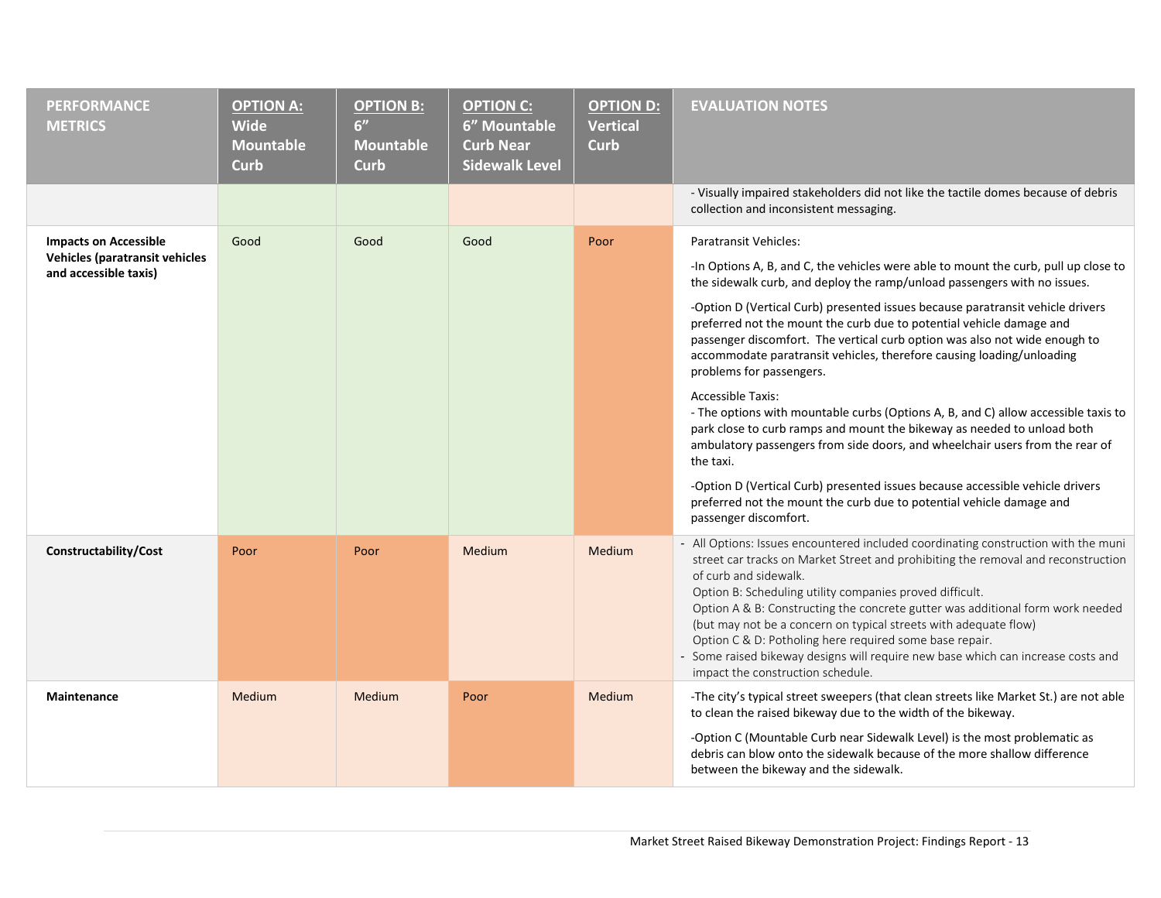| <b>PERFORMANCE</b><br><b>METRICS</b>                                                           | <b>OPTION A:</b><br><b>Wide</b><br><b>Mountable</b><br><b>Curb</b> | <b>OPTION B:</b><br>6"<br><b>Mountable</b><br><b>Curb</b> | <b>OPTION C:</b><br>6" Mountable<br><b>Curb Near</b><br><b>Sidewalk Level</b> | <b>OPTION D:</b><br><b>Vertical</b><br><b>Curb</b> | <b>EVALUATION NOTES</b>                                                                                                                                                                                                                                                                                                                                                                                                                                                                                                                                                                                                                                                                                                                                                                                                                                                                                                                                                                                                  |
|------------------------------------------------------------------------------------------------|--------------------------------------------------------------------|-----------------------------------------------------------|-------------------------------------------------------------------------------|----------------------------------------------------|--------------------------------------------------------------------------------------------------------------------------------------------------------------------------------------------------------------------------------------------------------------------------------------------------------------------------------------------------------------------------------------------------------------------------------------------------------------------------------------------------------------------------------------------------------------------------------------------------------------------------------------------------------------------------------------------------------------------------------------------------------------------------------------------------------------------------------------------------------------------------------------------------------------------------------------------------------------------------------------------------------------------------|
|                                                                                                |                                                                    |                                                           |                                                                               |                                                    | - Visually impaired stakeholders did not like the tactile domes because of debris<br>collection and inconsistent messaging.                                                                                                                                                                                                                                                                                                                                                                                                                                                                                                                                                                                                                                                                                                                                                                                                                                                                                              |
| <b>Impacts on Accessible</b><br><b>Vehicles (paratransit vehicles</b><br>and accessible taxis) | Good                                                               | Good                                                      | Good                                                                          | Poor                                               | <b>Paratransit Vehicles:</b><br>-In Options A, B, and C, the vehicles were able to mount the curb, pull up close to<br>the sidewalk curb, and deploy the ramp/unload passengers with no issues.<br>-Option D (Vertical Curb) presented issues because paratransit vehicle drivers<br>preferred not the mount the curb due to potential vehicle damage and<br>passenger discomfort. The vertical curb option was also not wide enough to<br>accommodate paratransit vehicles, therefore causing loading/unloading<br>problems for passengers.<br><b>Accessible Taxis:</b><br>- The options with mountable curbs (Options A, B, and C) allow accessible taxis to<br>park close to curb ramps and mount the bikeway as needed to unload both<br>ambulatory passengers from side doors, and wheelchair users from the rear of<br>the taxi.<br>-Option D (Vertical Curb) presented issues because accessible vehicle drivers<br>preferred not the mount the curb due to potential vehicle damage and<br>passenger discomfort. |
| Constructability/Cost                                                                          | Poor                                                               | Poor                                                      | Medium                                                                        | Medium                                             | - All Options: Issues encountered included coordinating construction with the muni<br>street car tracks on Market Street and prohibiting the removal and reconstruction<br>of curb and sidewalk.<br>Option B: Scheduling utility companies proved difficult.<br>Option A & B: Constructing the concrete gutter was additional form work needed<br>(but may not be a concern on typical streets with adequate flow)<br>Option C & D: Potholing here required some base repair.<br>- Some raised bikeway designs will require new base which can increase costs and<br>impact the construction schedule.                                                                                                                                                                                                                                                                                                                                                                                                                   |
| <b>Maintenance</b>                                                                             | Medium                                                             | <b>Medium</b>                                             | Poor                                                                          | Medium                                             | -The city's typical street sweepers (that clean streets like Market St.) are not able<br>to clean the raised bikeway due to the width of the bikeway.<br>-Option C (Mountable Curb near Sidewalk Level) is the most problematic as<br>debris can blow onto the sidewalk because of the more shallow difference<br>between the bikeway and the sidewalk.                                                                                                                                                                                                                                                                                                                                                                                                                                                                                                                                                                                                                                                                  |